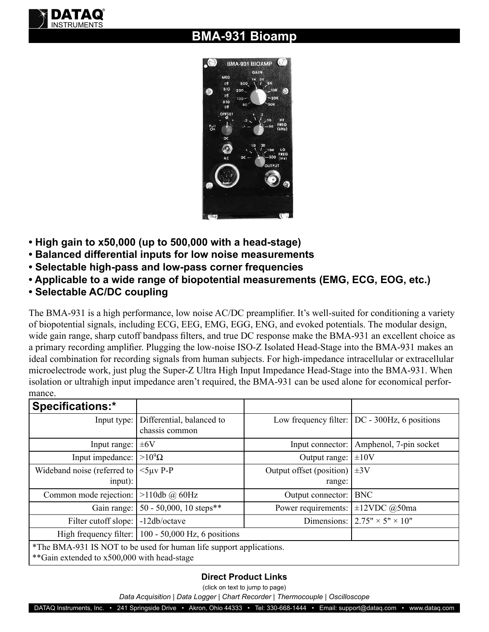

## **BMA-931 Bioamp**



- **High gain to x50,000 (up to 500,000 with a head-stage)**
- **Balanced differential inputs for low noise measurements**
- **Selectable high-pass and low-pass corner frequencies**
- **Applicable to a wide range of biopotential measurements (EMG, ECG, EOG, etc.)**
- **Selectable AC/DC coupling**

The BMA-931 is a high performance, low noise AC/DC preamplifier. It's well-suited for conditioning a variety of biopotential signals, including ECG, EEG, EMG, EGG, ENG, and evoked potentials. The modular design, wide gain range, sharp cutoff bandpass filters, and true DC response make the BMA-931 an excellent choice as a primary recording amplifier. Plugging the low-noise ISO-Z Isolated Head-Stage into the BMA-931 makes an ideal combination for recording signals from human subjects. For high-impedance intracellular or extracellular microelectrode work, just plug the Super-Z Ultra High Input Impedance Head-Stage into the BMA-931. When isolation or ultrahigh input impedance aren't required, the BMA-931 can be used alone for economical performance.

| <b>Specifications:*</b>                                                                                            |                                             |                                    |                                                       |  |
|--------------------------------------------------------------------------------------------------------------------|---------------------------------------------|------------------------------------|-------------------------------------------------------|--|
| Input type:                                                                                                        | Differential, balanced to<br>chassis common |                                    | Low frequency filter: $\vert$ DC - 300Hz, 6 positions |  |
| Input range:                                                                                                       | $\pm 6V$                                    | Input connector:                   | Amphenol, 7-pin socket                                |  |
| Input impedance:                                                                                                   | $>10^9\Omega$                               | Output range:                      | $\pm 10V$                                             |  |
| Wideband noise (referred to<br>input):                                                                             | $<$ 5µv P-P                                 | Output offset (position)<br>range: | $\pm 3V$                                              |  |
| Common mode rejection:                                                                                             | $>110db$ @ 60Hz                             | Output connector:                  | <b>BNC</b>                                            |  |
| Gain range:                                                                                                        | 50 - 50,000, 10 steps**                     | Power requirements:                | $\pm 12$ VDC @50ma                                    |  |
| Filter cutoff slope:                                                                                               | -12db/octave                                |                                    | Dimensions: $2.75" \times 5" \times 10"$              |  |
| High frequency filter:                                                                                             | 100 - 50,000 Hz, 6 positions                |                                    |                                                       |  |
| *The BMA-931 IS NOT to be used for human life support applications.<br>**Gain extended to x500,000 with head-stage |                                             |                                    |                                                       |  |

## **Direct Product Links**

(click on text to jump to page)

*[Data Acquisition](http://www.dataq.com) | [Data Logger](http://www.dataq.com/data-logger/data-logger.html) | [Chart Recorder |](http://www.dataq.com/c_cr) [Thermocouple](http://www.dataq.com/products/hardware/di1000tc.htm) | [Oscilloscope](http://www.dataq.com/products/hardware/oscilloscope.htm)*